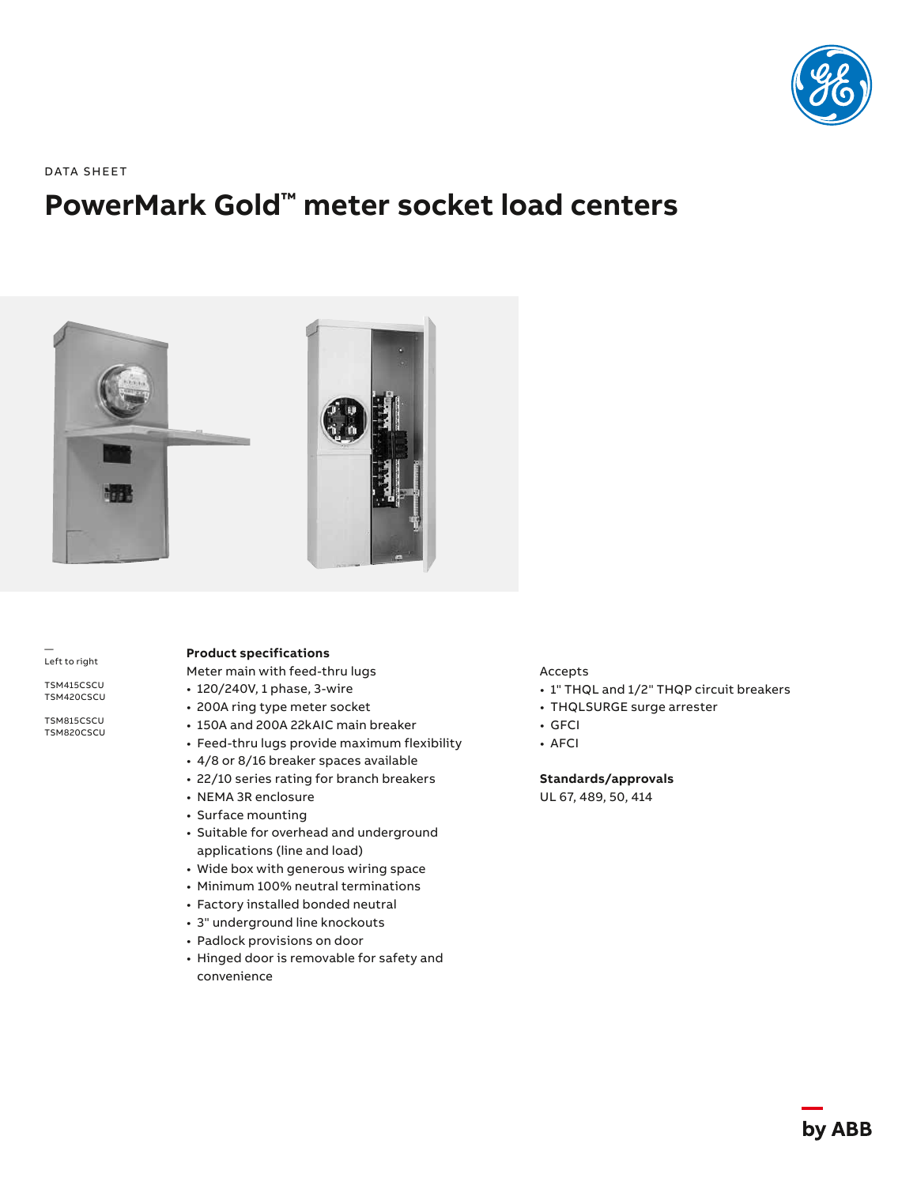

DATA SHEET

# **PowerMark Gold™ meter socket load centers**



— Left to right

TSM415CSCU TSM420CSCU

TSM815CSCU TSM820CSCU

# **Product specifications**

Meter main with feed-thru lugs

- 120/240V, 1 phase, 3-wire
- 200A ring type meter socket
- 150A and 200A 22kAIC main breaker
- Feed-thru lugs provide maximum flexibility
- 4/8 or 8/16 breaker spaces available
- 22/10 series rating for branch breakers
- NEMA 3R enclosure
- Surface mounting
- Suitable for overhead and underground applications (line and load)
- Wide box with generous wiring space
- Minimum 100% neutral terminations
- Factory installed bonded neutral
- 3" underground line knockouts
- Padlock provisions on door
- Hinged door is removable for safety and convenience

Accepts

- 1" THQL and 1/2" THQP circuit breakers
- THQLSURGE surge arrester
- GFCI
- AFCI

**Standards/approvals**

UL 67, 489, 50, 414